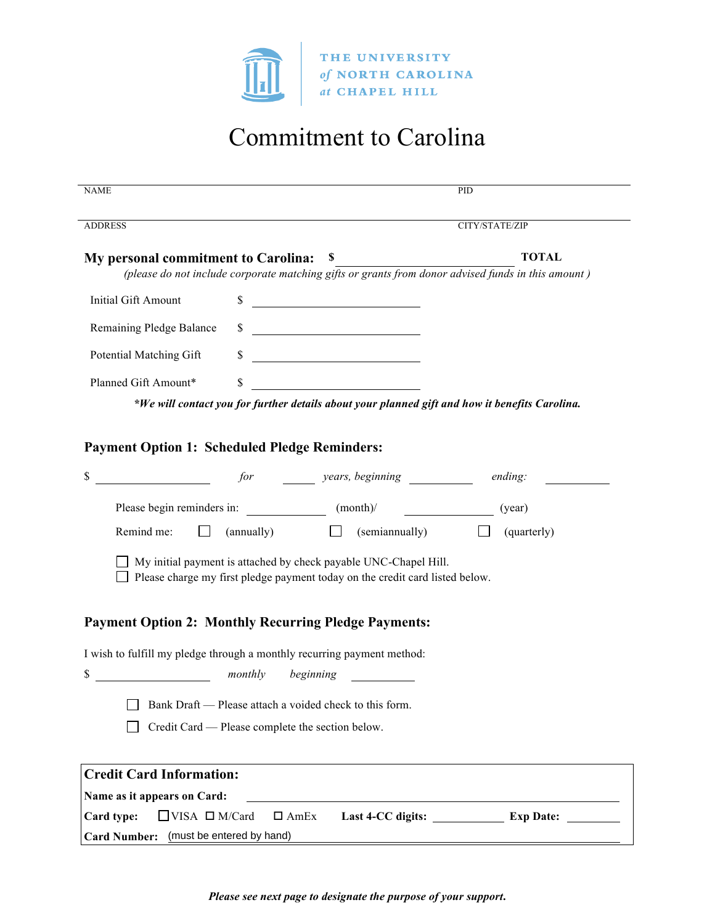

# Commitment to Carolina

| <b>NAME</b>                                                             |                                                  |                                                                                                                                                  | PID                                                                                                |
|-------------------------------------------------------------------------|--------------------------------------------------|--------------------------------------------------------------------------------------------------------------------------------------------------|----------------------------------------------------------------------------------------------------|
| <b>ADDRESS</b>                                                          |                                                  | CITY/STATE/ZIP                                                                                                                                   |                                                                                                    |
| My personal commitment to Carolina:                                     |                                                  | S,                                                                                                                                               | <b>TOTAL</b>                                                                                       |
|                                                                         |                                                  |                                                                                                                                                  | (please do not include corporate matching gifts or grants from donor advised funds in this amount) |
| <b>Initial Gift Amount</b>                                              | \$                                               |                                                                                                                                                  |                                                                                                    |
| Remaining Pledge Balance                                                | \$                                               | <u> 1989 - Johann Barnett, fransk politik (</u>                                                                                                  |                                                                                                    |
| Potential Matching Gift                                                 | \$                                               |                                                                                                                                                  |                                                                                                    |
| Planned Gift Amount*                                                    | \$                                               |                                                                                                                                                  |                                                                                                    |
|                                                                         |                                                  | *We will contact you for further details about your planned gift and how it benefits Carolina.                                                   |                                                                                                    |
|                                                                         |                                                  |                                                                                                                                                  |                                                                                                    |
| <b>Payment Option 1: Scheduled Pledge Reminders:</b>                    |                                                  |                                                                                                                                                  |                                                                                                    |
| \$                                                                      |                                                  | for years, beginning ending:                                                                                                                     |                                                                                                    |
|                                                                         |                                                  |                                                                                                                                                  | (year)                                                                                             |
| Remind me:<br>$\mathbf{L}$                                              |                                                  | $(\text{annually})$ (semiannually)                                                                                                               | (quarterly)                                                                                        |
|                                                                         |                                                  | My initial payment is attached by check payable UNC-Chapel Hill.<br>Please charge my first pledge payment today on the credit card listed below. |                                                                                                    |
| <b>Payment Option 2: Monthly Recurring Pledge Payments:</b>             |                                                  |                                                                                                                                                  |                                                                                                    |
| I wish to fulfill my pledge through a monthly recurring payment method: |                                                  |                                                                                                                                                  |                                                                                                    |
| \$<br><i>monthly</i>                                                    |                                                  | beginning                                                                                                                                        |                                                                                                    |
|                                                                         |                                                  | Bank Draft — Please attach a voided check to this form.                                                                                          |                                                                                                    |
|                                                                         | Credit Card — Please complete the section below. |                                                                                                                                                  |                                                                                                    |
|                                                                         |                                                  |                                                                                                                                                  |                                                                                                    |
| <b>Credit Card Information:</b>                                         |                                                  |                                                                                                                                                  |                                                                                                    |
| Name as it appears on Card:                                             |                                                  |                                                                                                                                                  |                                                                                                    |
| $\Box$ VISA $\Box$ M/Card<br>Card type:                                 | $\Box$ AmEx                                      |                                                                                                                                                  | Last 4-CC digits: Exp Date:                                                                        |
| <b>Card Number:</b>                                                     | (must be entered by hand)                        |                                                                                                                                                  |                                                                                                    |